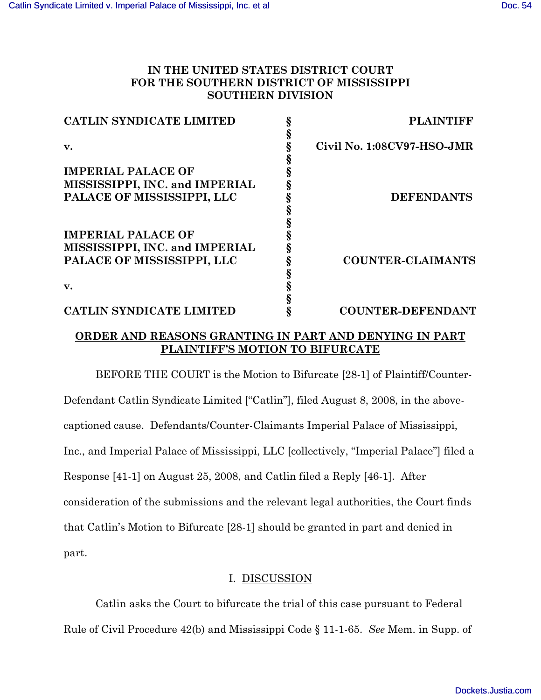## **IN THE UNITED STATES DISTRICT COURT FOR THE SOUTHERN DISTRICT OF MISSISSIPPI SOUTHERN DIVISION**

| <b>CATLIN SYNDICATE LIMITED</b> | <b>PLAINTIFF</b>           |
|---------------------------------|----------------------------|
|                                 |                            |
| v.                              | Civil No. 1:08CV97-HSO-JMR |
|                                 |                            |
| <b>IMPERIAL PALACE OF</b>       |                            |
| MISSISSIPPI, INC. and IMPERIAL  |                            |
| PALACE OF MISSISSIPPI, LLC      | <b>DEFENDANTS</b>          |
|                                 |                            |
|                                 |                            |
| <b>IMPERIAL PALACE OF</b>       |                            |
| MISSISSIPPI, INC. and IMPERIAL  |                            |
| PALACE OF MISSISSIPPI, LLC      | <b>COUNTER-CLAIMANTS</b>   |
|                                 |                            |
| v.                              |                            |
|                                 |                            |
| <b>CATLIN SYNDICATE LIMITED</b> | <b>COUNTER-DEFENDANT</b>   |
|                                 |                            |

## **ORDER AND REASONS GRANTING IN PART AND DENYING IN PART PLAINTIFF'S MOTION TO BIFURCATE**

BEFORE THE COURT is the Motion to Bifurcate [28-1] of Plaintiff/Counter-Defendant Catlin Syndicate Limited ["Catlin"], filed August 8, 2008, in the abovecaptioned cause. Defendants/Counter-Claimants Imperial Palace of Mississippi, Inc., and Imperial Palace of Mississippi, LLC [collectively, "Imperial Palace"] filed a Response [41-1] on August 25, 2008, and Catlin filed a Reply [46-1]. After consideration of the submissions and the relevant legal authorities, the Court finds that Catlin's Motion to Bifurcate [28-1] should be granted in part and denied in part.

## I. DISCUSSION

Catlin asks the Court to bifurcate the trial of this case pursuant to Federal Rule of Civil Procedure 42(b) and Mississippi Code § 11-1-65. *See* Mem. in Supp. of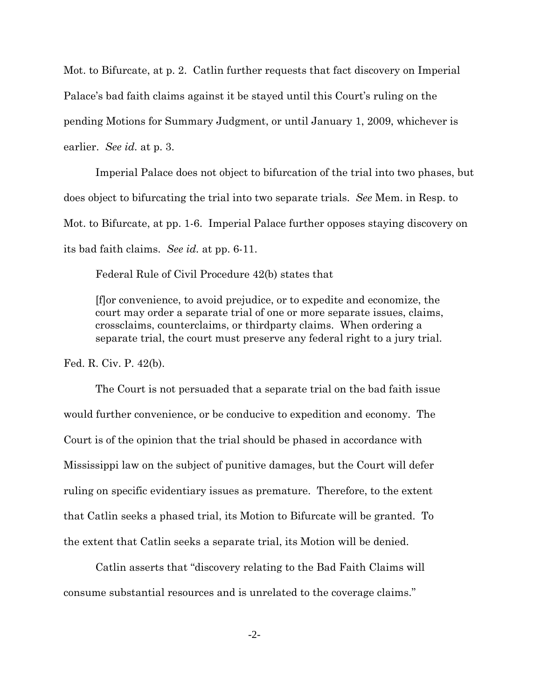Mot. to Bifurcate, at p. 2. Catlin further requests that fact discovery on Imperial Palace's bad faith claims against it be stayed until this Court's ruling on the pending Motions for Summary Judgment, or until January 1, 2009, whichever is earlier. *See id.* at p. 3.

Imperial Palace does not object to bifurcation of the trial into two phases, but does object to bifurcating the trial into two separate trials. *See* Mem. in Resp. to Mot. to Bifurcate, at pp. 1-6. Imperial Palace further opposes staying discovery on its bad faith claims. *See id.* at pp. 6-11.

Federal Rule of Civil Procedure 42(b) states that

[f]or convenience, to avoid prejudice, or to expedite and economize, the court may order a separate trial of one or more separate issues, claims, crossclaims, counterclaims, or thirdparty claims. When ordering a separate trial, the court must preserve any federal right to a jury trial.

Fed. R. Civ. P. 42(b).

The Court is not persuaded that a separate trial on the bad faith issue would further convenience, or be conducive to expedition and economy. The Court is of the opinion that the trial should be phased in accordance with Mississippi law on the subject of punitive damages, but the Court will defer ruling on specific evidentiary issues as premature. Therefore, to the extent that Catlin seeks a phased trial, its Motion to Bifurcate will be granted. To the extent that Catlin seeks a separate trial, its Motion will be denied.

Catlin asserts that "discovery relating to the Bad Faith Claims will consume substantial resources and is unrelated to the coverage claims."